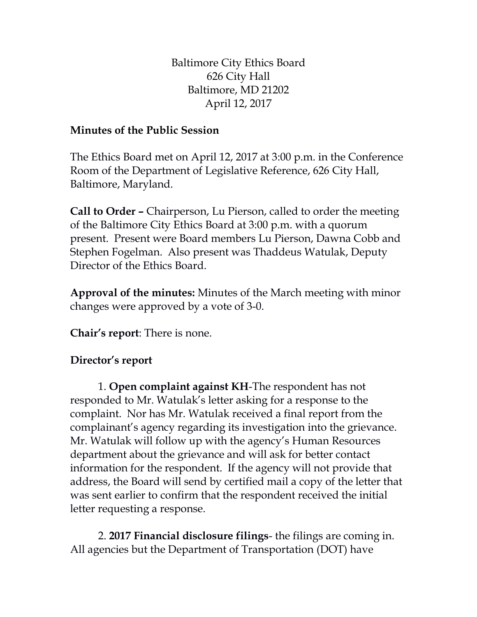Baltimore City Ethics Board 626 City Hall Baltimore, MD 21202 April 12, 2017

## **Minutes of the Public Session**

The Ethics Board met on April 12, 2017 at 3:00 p.m. in the Conference Room of the Department of Legislative Reference, 626 City Hall, Baltimore, Maryland.

**Call to Order –** Chairperson, Lu Pierson, called to order the meeting of the Baltimore City Ethics Board at 3:00 p.m. with a quorum present. Present were Board members Lu Pierson, Dawna Cobb and Stephen Fogelman. Also present was Thaddeus Watulak, Deputy Director of the Ethics Board.

**Approval of the minutes:** Minutes of the March meeting with minor changes were approved by a vote of 3-0.

**Chair's report**: There is none.

## **Director's report**

1. **Open complaint against KH**-The respondent has not responded to Mr. Watulak's letter asking for a response to the complaint. Nor has Mr. Watulak received a final report from the complainant's agency regarding its investigation into the grievance. Mr. Watulak will follow up with the agency's Human Resources department about the grievance and will ask for better contact information for the respondent. If the agency will not provide that address, the Board will send by certified mail a copy of the letter that was sent earlier to confirm that the respondent received the initial letter requesting a response.

2. **2017 Financial disclosure filings**- the filings are coming in. All agencies but the Department of Transportation (DOT) have